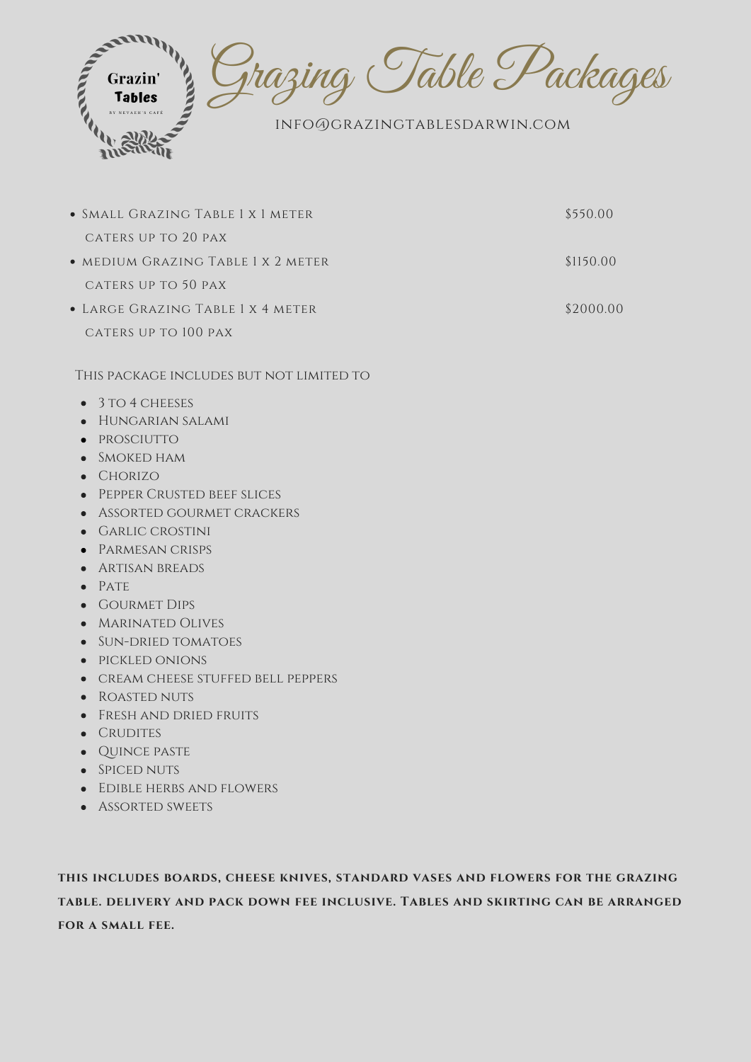

| • SMALL GRAZING TABLE 1 X 1 METER        | \$550.00  |
|------------------------------------------|-----------|
| CATERS UP TO 20 PAX                      |           |
| • MEDIUM GRAZING TABLE 1 X 2 METER       | \$1150.00 |
| CATERS UP TO 50 PAX                      |           |
| • LARGE GRAZING TABLE 1 X 4 METER        | \$2000.00 |
| CATERS UP TO 100 PAX                     |           |
|                                          |           |
| THIS PACKAGE INCLUDES BUT NOT LIMITED TO |           |
| $\bullet$ 3 TO 4 CHEESES                 |           |
| HUNGARIAN SALAMI<br>$\bullet$            |           |

- prosciutto  $\bullet$
- Smoked ham
- CHORIZO
- Pepper Crusted beef slices
- Assorted gourmet crackers  $\bullet$
- Garlic crostini
- Parmesan crisps
- 
- **ARTISAN BREADS**
- $\bullet$  PATE
- Gourmet Dips
- MARINATED OLIVES
- SUN-DRIED TOMATOES
- PICKLED ONIONS
- CREAM CHEESE STUFFED BELL PEPPERS
- ROASTED NUTS
- Fresh and dried fruits
- CRUDITES
- · QUINCE PASTE
- SPICED NUTS
- Edible herbs and flowers
- **ASSORTED SWEETS**

**this includes boards, cheese knives, standard vases and flowers for the grazing table. delivery and pack down fee inclusive. Tables and skirting can be arranged for a small fee.**